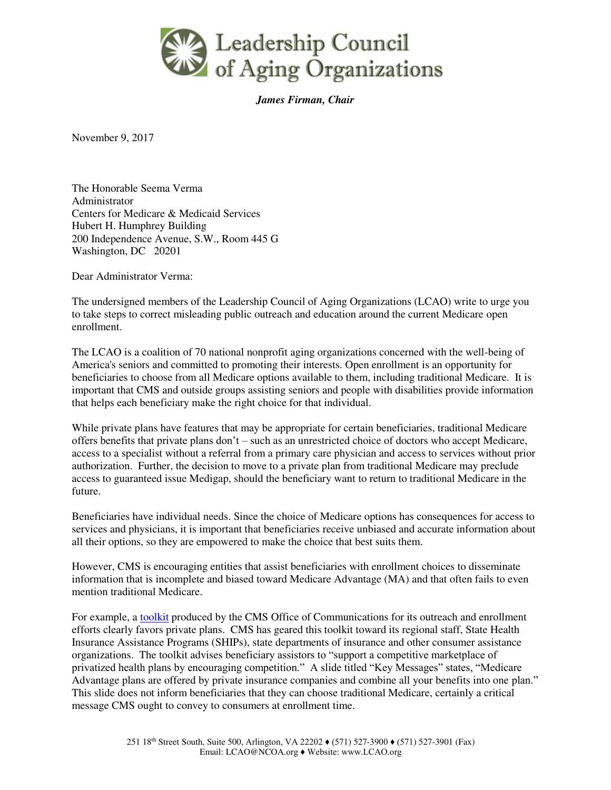

*James Firman, Chair*

November 9, 2017

The Honorable Seema Verma Administrator Centers for Medicare & Medicaid Services Hubert H. Humphrey Building 200 Independence Avenue, S.W., Room 445 G Washington, DC 20201

Dear Administrator Verma:

The undersigned members of the Leadership Council of Aging Organizations (LCAO) write to urge you to take steps to correct misleading public outreach and education around the current Medicare open enrollment.

The LCAO is a coalition of 70 national nonprofit aging organizations concerned with the well-being of America's seniors and committed to promoting their interests. Open enrollment is an opportunity for beneficiaries to choose from all Medicare options available to them, including traditional Medicare. It is important that CMS and outside groups assisting seniors and people with disabilities provide information that helps each beneficiary make the right choice for that individual.

While private plans have features that may be appropriate for certain beneficiaries, traditional Medicare offers benefits that private plans don't – such as an unrestricted choice of doctors who accept Medicare, access to a specialist without a referral from a primary care physician and access to services without prior authorization. Further, the decision to move to a private plan from traditional Medicare may preclude access to guaranteed issue Medigap, should the beneficiary want to return to traditional Medicare in the future.

Beneficiaries have individual needs. Since the choice of Medicare options has consequences for access to services and physicians, it is important that beneficiaries receive unbiased and accurate information about all their options, so they are empowered to make the choice that best suits them.

However, CMS is encouraging entities that assist beneficiaries with enrollment choices to disseminate information that is incomplete and biased toward Medicare Advantage (MA) and that often fails to even mention traditional Medicare.

For example, a [toolkit](https://www.cms.gov/Outreach-and-Education/Training/CMSNationalTrainingProgram/National-Training-Program-Resources.html) produced by the CMS Office of Communications for its outreach and enrollment efforts clearly favors private plans. CMS has geared this toolkit toward its regional staff, State Health Insurance Assistance Programs (SHIPs), state departments of insurance and other consumer assistance organizations. The toolkit advises beneficiary assistors to "support a competitive marketplace of privatized health plans by encouraging competition." A slide titled "Key Messages" states, "Medicare Advantage plans are offered by private insurance companies and combine all your benefits into one plan." This slide does not inform beneficiaries that they can choose traditional Medicare, certainly a critical message CMS ought to convey to consumers at enrollment time.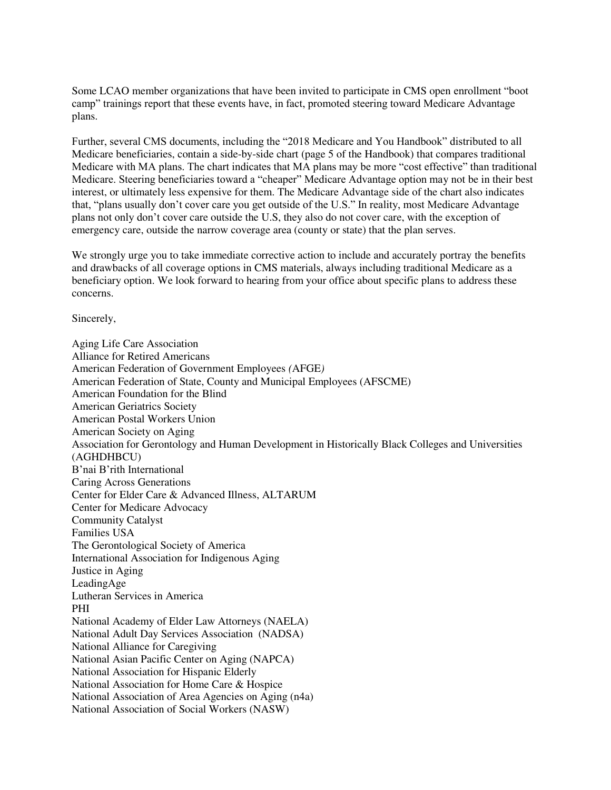Some LCAO member organizations that have been invited to participate in CMS open enrollment "boot camp" trainings report that these events have, in fact, promoted steering toward Medicare Advantage plans.

Further, several CMS documents, including the "2018 Medicare and You Handbook" distributed to all Medicare beneficiaries, contain a side-by-side chart (page 5 of the Handbook) that compares traditional Medicare with MA plans. The chart indicates that MA plans may be more "cost effective" than traditional Medicare. Steering beneficiaries toward a "cheaper" Medicare Advantage option may not be in their best interest, or ultimately less expensive for them. The Medicare Advantage side of the chart also indicates that, "plans usually don't cover care you get outside of the U.S." In reality, most Medicare Advantage plans not only don't cover care outside the U.S, they also do not cover care, with the exception of emergency care, outside the narrow coverage area (county or state) that the plan serves.

We strongly urge you to take immediate corrective action to include and accurately portray the benefits and drawbacks of all coverage options in CMS materials, always including traditional Medicare as a beneficiary option. We look forward to hearing from your office about specific plans to address these concerns.

Sincerely,

Aging Life Care Association Alliance for Retired Americans American Federation of Government Employees *(*AFGE*)*  American Federation of State, County and Municipal Employees (AFSCME) American Foundation for the Blind American Geriatrics Society American Postal Workers Union American Society on Aging Association for Gerontology and Human Development in Historically Black Colleges and Universities (AGHDHBCU) B'nai B'rith International Caring Across Generations Center for Elder Care & Advanced Illness, ALTARUM Center for Medicare Advocacy Community Catalyst Families USA The Gerontological Society of America International Association for Indigenous Aging Justice in Aging LeadingAge Lutheran Services in America PHI National Academy of Elder Law Attorneys (NAELA) National Adult Day Services Association (NADSA) National Alliance for Caregiving National Asian Pacific Center on Aging (NAPCA) National Association for Hispanic Elderly National Association for Home Care & Hospice National Association of Area Agencies on Aging (n4a) National Association of Social Workers (NASW)